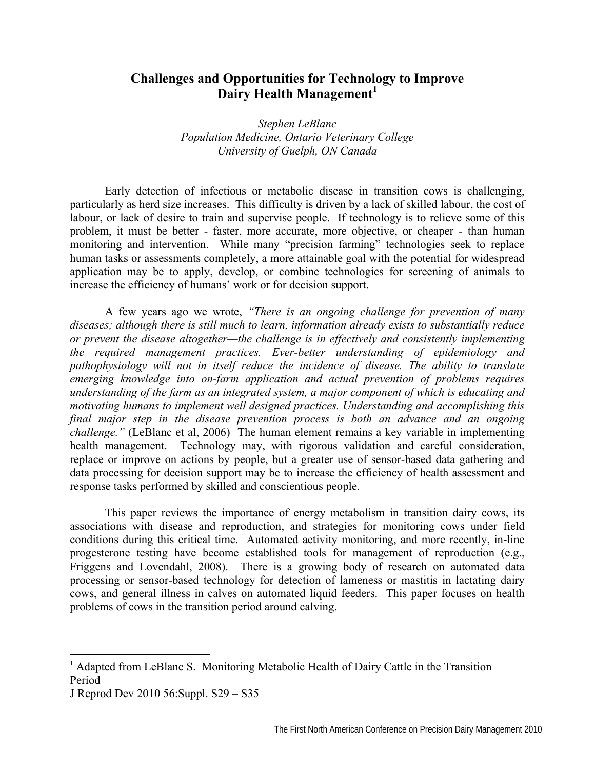# **Challenges and Opportunities for Technology to Improve Dairy Health Management**<sup>1</sup>

*Stephen LeBlanc Population Medicine, Ontario Veterinary College University of Guelph, ON Canada* 

Early detection of infectious or metabolic disease in transition cows is challenging, particularly as herd size increases. This difficulty is driven by a lack of skilled labour, the cost of labour, or lack of desire to train and supervise people. If technology is to relieve some of this problem, it must be better - faster, more accurate, more objective, or cheaper - than human monitoring and intervention. While many "precision farming" technologies seek to replace human tasks or assessments completely, a more attainable goal with the potential for widespread application may be to apply, develop, or combine technologies for screening of animals to increase the efficiency of humans' work or for decision support.

A few years ago we wrote, *"There is an ongoing challenge for prevention of many diseases; although there is still much to learn, information already exists to substantially reduce or prevent the disease altogether—the challenge is in effectively and consistently implementing the required management practices. Ever-better understanding of epidemiology and pathophysiology will not in itself reduce the incidence of disease. The ability to translate emerging knowledge into on-farm application and actual prevention of problems requires understanding of the farm as an integrated system, a major component of which is educating and motivating humans to implement well designed practices. Understanding and accomplishing this final major step in the disease prevention process is both an advance and an ongoing challenge."* (LeBlanc et al, 2006) The human element remains a key variable in implementing health management. Technology may, with rigorous validation and careful consideration, replace or improve on actions by people, but a greater use of sensor-based data gathering and data processing for decision support may be to increase the efficiency of health assessment and response tasks performed by skilled and conscientious people.

This paper reviews the importance of energy metabolism in transition dairy cows, its associations with disease and reproduction, and strategies for monitoring cows under field conditions during this critical time. Automated activity monitoring, and more recently, in-line progesterone testing have become established tools for management of reproduction (e.g., Friggens and Lovendahl, 2008). There is a growing body of research on automated data processing or sensor-based technology for detection of lameness or mastitis in lactating dairy cows, and general illness in calves on automated liquid feeders. This paper focuses on health problems of cows in the transition period around calving.

 $\overline{\phantom{a}}$ 

<sup>&</sup>lt;sup>1</sup> Adapted from LeBlanc S. Monitoring Metabolic Health of Dairy Cattle in the Transition Period

J Reprod Dev 2010 56:Suppl. S29 – S35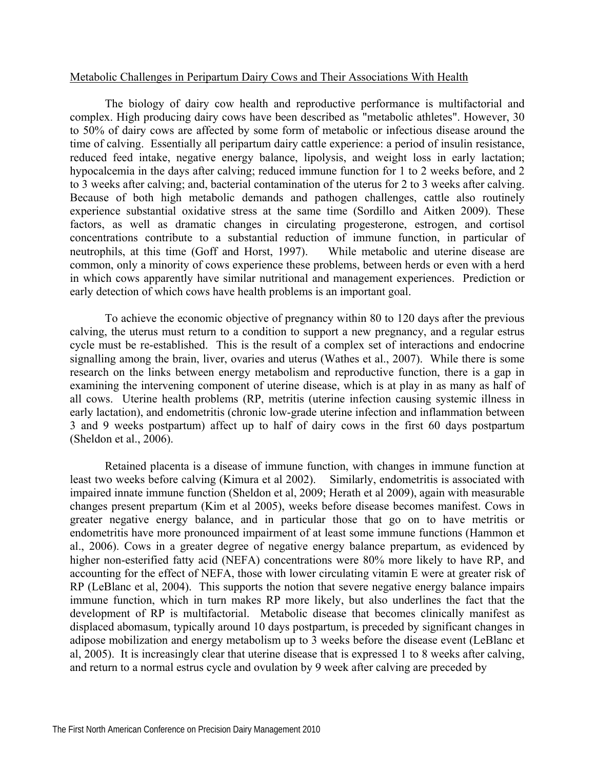### Metabolic Challenges in Peripartum Dairy Cows and Their Associations With Health

The biology of dairy cow health and reproductive performance is multifactorial and complex. High producing dairy cows have been described as "metabolic athletes". However, 30 to 50% of dairy cows are affected by some form of metabolic or infectious disease around the time of calving. Essentially all peripartum dairy cattle experience: a period of insulin resistance, reduced feed intake, negative energy balance, lipolysis, and weight loss in early lactation; hypocalcemia in the days after calving; reduced immune function for 1 to 2 weeks before, and 2 to 3 weeks after calving; and, bacterial contamination of the uterus for 2 to 3 weeks after calving. Because of both high metabolic demands and pathogen challenges, cattle also routinely experience substantial oxidative stress at the same time (Sordillo and Aitken 2009). These factors, as well as dramatic changes in circulating progesterone, estrogen, and cortisol concentrations contribute to a substantial reduction of immune function, in particular of neutrophils, at this time (Goff and Horst, 1997). While metabolic and uterine disease are common, only a minority of cows experience these problems, between herds or even with a herd in which cows apparently have similar nutritional and management experiences. Prediction or early detection of which cows have health problems is an important goal.

To achieve the economic objective of pregnancy within 80 to 120 days after the previous calving, the uterus must return to a condition to support a new pregnancy, and a regular estrus cycle must be re-established. This is the result of a complex set of interactions and endocrine signalling among the brain, liver, ovaries and uterus (Wathes et al., 2007). While there is some research on the links between energy metabolism and reproductive function, there is a gap in examining the intervening component of uterine disease, which is at play in as many as half of all cows. Uterine health problems (RP, metritis (uterine infection causing systemic illness in early lactation), and endometritis (chronic low-grade uterine infection and inflammation between 3 and 9 weeks postpartum) affect up to half of dairy cows in the first 60 days postpartum (Sheldon et al., 2006).

Retained placenta is a disease of immune function, with changes in immune function at least two weeks before calving (Kimura et al 2002). Similarly, endometritis is associated with impaired innate immune function (Sheldon et al, 2009; Herath et al 2009), again with measurable changes present prepartum (Kim et al 2005), weeks before disease becomes manifest. Cows in greater negative energy balance, and in particular those that go on to have metritis or endometritis have more pronounced impairment of at least some immune functions (Hammon et al., 2006). Cows in a greater degree of negative energy balance prepartum, as evidenced by higher non-esterified fatty acid (NEFA) concentrations were 80% more likely to have RP, and accounting for the effect of NEFA, those with lower circulating vitamin E were at greater risk of RP (LeBlanc et al, 2004). This supports the notion that severe negative energy balance impairs immune function, which in turn makes RP more likely, but also underlines the fact that the development of RP is multifactorial. Metabolic disease that becomes clinically manifest as displaced abomasum, typically around 10 days postpartum, is preceded by significant changes in adipose mobilization and energy metabolism up to 3 weeks before the disease event (LeBlanc et al, 2005). It is increasingly clear that uterine disease that is expressed 1 to 8 weeks after calving, and return to a normal estrus cycle and ovulation by 9 week after calving are preceded by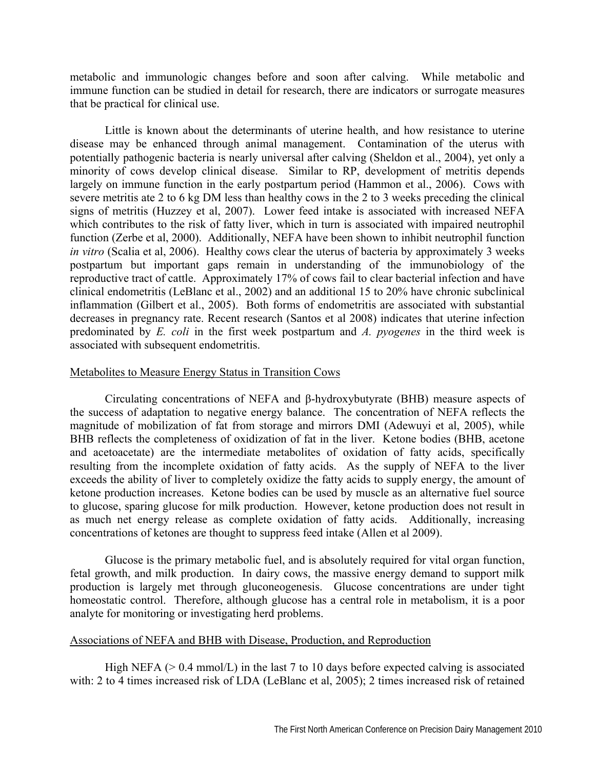metabolic and immunologic changes before and soon after calving. While metabolic and immune function can be studied in detail for research, there are indicators or surrogate measures that be practical for clinical use.

Little is known about the determinants of uterine health, and how resistance to uterine disease may be enhanced through animal management. Contamination of the uterus with potentially pathogenic bacteria is nearly universal after calving (Sheldon et al., 2004), yet only a minority of cows develop clinical disease. Similar to RP, development of metritis depends largely on immune function in the early postpartum period (Hammon et al., 2006). Cows with severe metritis ate 2 to 6 kg DM less than healthy cows in the 2 to 3 weeks preceding the clinical signs of metritis (Huzzey et al, 2007). Lower feed intake is associated with increased NEFA which contributes to the risk of fatty liver, which in turn is associated with impaired neutrophil function (Zerbe et al, 2000). Additionally, NEFA have been shown to inhibit neutrophil function *in vitro* (Scalia et al, 2006). Healthy cows clear the uterus of bacteria by approximately 3 weeks postpartum but important gaps remain in understanding of the immunobiology of the reproductive tract of cattle. Approximately 17% of cows fail to clear bacterial infection and have clinical endometritis (LeBlanc et al., 2002) and an additional 15 to 20% have chronic subclinical inflammation (Gilbert et al., 2005). Both forms of endometritis are associated with substantial decreases in pregnancy rate. Recent research (Santos et al 2008) indicates that uterine infection predominated by *E. coli* in the first week postpartum and *A. pyogenes* in the third week is associated with subsequent endometritis.

# Metabolites to Measure Energy Status in Transition Cows

Circulating concentrations of NEFA and β-hydroxybutyrate (BHB) measure aspects of the success of adaptation to negative energy balance. The concentration of NEFA reflects the magnitude of mobilization of fat from storage and mirrors DMI (Adewuyi et al, 2005), while BHB reflects the completeness of oxidization of fat in the liver. Ketone bodies (BHB, acetone and acetoacetate) are the intermediate metabolites of oxidation of fatty acids, specifically resulting from the incomplete oxidation of fatty acids. As the supply of NEFA to the liver exceeds the ability of liver to completely oxidize the fatty acids to supply energy, the amount of ketone production increases. Ketone bodies can be used by muscle as an alternative fuel source to glucose, sparing glucose for milk production. However, ketone production does not result in as much net energy release as complete oxidation of fatty acids. Additionally, increasing concentrations of ketones are thought to suppress feed intake (Allen et al 2009).

Glucose is the primary metabolic fuel, and is absolutely required for vital organ function, fetal growth, and milk production. In dairy cows, the massive energy demand to support milk production is largely met through gluconeogenesis. Glucose concentrations are under tight homeostatic control. Therefore, although glucose has a central role in metabolism, it is a poor analyte for monitoring or investigating herd problems.

# Associations of NEFA and BHB with Disease, Production, and Reproduction

High NEFA ( $> 0.4$  mmol/L) in the last 7 to 10 days before expected calving is associated with: 2 to 4 times increased risk of LDA (LeBlanc et al, 2005); 2 times increased risk of retained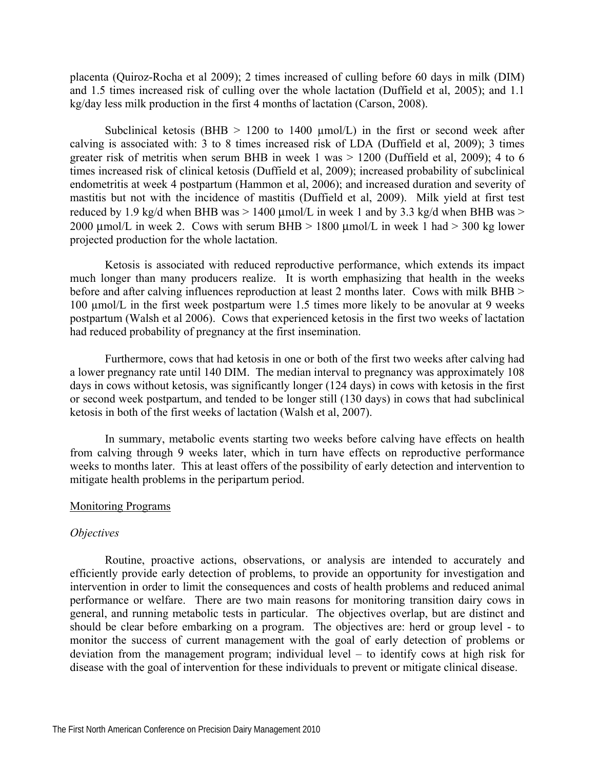placenta (Quiroz-Rocha et al 2009); 2 times increased of culling before 60 days in milk (DIM) and 1.5 times increased risk of culling over the whole lactation (Duffield et al, 2005); and 1.1 kg/day less milk production in the first 4 months of lactation (Carson, 2008).

Subclinical ketosis (BHB  $> 1200$  to 1400  $\mu$ mol/L) in the first or second week after calving is associated with: 3 to 8 times increased risk of LDA (Duffield et al, 2009); 3 times greater risk of metritis when serum BHB in week 1 was > 1200 (Duffield et al, 2009); 4 to 6 times increased risk of clinical ketosis (Duffield et al, 2009); increased probability of subclinical endometritis at week 4 postpartum (Hammon et al, 2006); and increased duration and severity of mastitis but not with the incidence of mastitis (Duffield et al, 2009). Milk yield at first test reduced by 1.9 kg/d when BHB was  $> 1400 \mu$ mol/L in week 1 and by 3.3 kg/d when BHB was  $>$ 2000 μmol/L in week 2. Cows with serum BHB  $> 1800$  μmol/L in week 1 had  $> 300$  kg lower projected production for the whole lactation.

Ketosis is associated with reduced reproductive performance, which extends its impact much longer than many producers realize. It is worth emphasizing that health in the weeks before and after calving influences reproduction at least 2 months later. Cows with milk BHB > 100 µmol/L in the first week postpartum were 1.5 times more likely to be anovular at 9 weeks postpartum (Walsh et al 2006). Cows that experienced ketosis in the first two weeks of lactation had reduced probability of pregnancy at the first insemination.

Furthermore, cows that had ketosis in one or both of the first two weeks after calving had a lower pregnancy rate until 140 DIM. The median interval to pregnancy was approximately 108 days in cows without ketosis, was significantly longer (124 days) in cows with ketosis in the first or second week postpartum, and tended to be longer still (130 days) in cows that had subclinical ketosis in both of the first weeks of lactation (Walsh et al, 2007).

In summary, metabolic events starting two weeks before calving have effects on health from calving through 9 weeks later, which in turn have effects on reproductive performance weeks to months later. This at least offers of the possibility of early detection and intervention to mitigate health problems in the peripartum period.

### Monitoring Programs

# *Objectives*

Routine, proactive actions, observations, or analysis are intended to accurately and efficiently provide early detection of problems, to provide an opportunity for investigation and intervention in order to limit the consequences and costs of health problems and reduced animal performance or welfare. There are two main reasons for monitoring transition dairy cows in general, and running metabolic tests in particular. The objectives overlap, but are distinct and should be clear before embarking on a program. The objectives are: herd or group level - to monitor the success of current management with the goal of early detection of problems or deviation from the management program; individual level – to identify cows at high risk for disease with the goal of intervention for these individuals to prevent or mitigate clinical disease.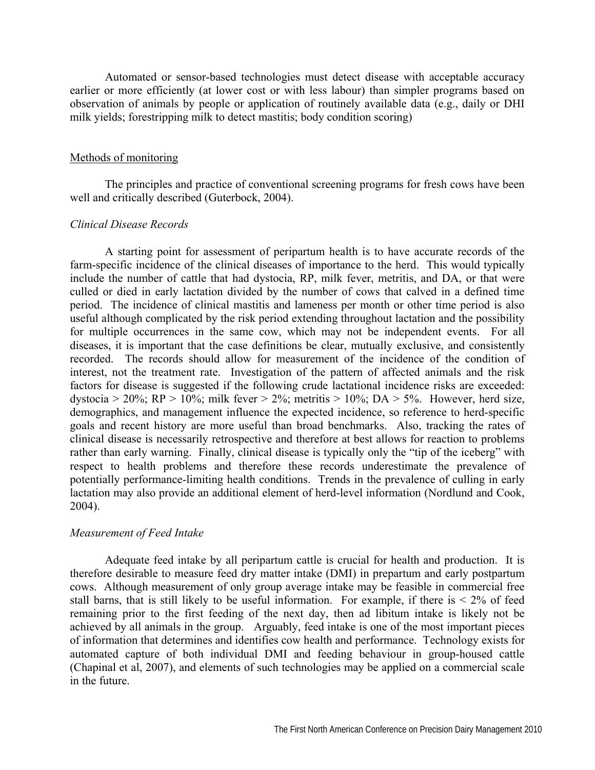Automated or sensor-based technologies must detect disease with acceptable accuracy earlier or more efficiently (at lower cost or with less labour) than simpler programs based on observation of animals by people or application of routinely available data (e.g., daily or DHI milk yields; forestripping milk to detect mastitis; body condition scoring)

#### Methods of monitoring

The principles and practice of conventional screening programs for fresh cows have been well and critically described (Guterbock, 2004).

# *Clinical Disease Records*

A starting point for assessment of peripartum health is to have accurate records of the farm-specific incidence of the clinical diseases of importance to the herd. This would typically include the number of cattle that had dystocia, RP, milk fever, metritis, and DA, or that were culled or died in early lactation divided by the number of cows that calved in a defined time period. The incidence of clinical mastitis and lameness per month or other time period is also useful although complicated by the risk period extending throughout lactation and the possibility for multiple occurrences in the same cow, which may not be independent events. For all diseases, it is important that the case definitions be clear, mutually exclusive, and consistently recorded. The records should allow for measurement of the incidence of the condition of interest, not the treatment rate. Investigation of the pattern of affected animals and the risk factors for disease is suggested if the following crude lactational incidence risks are exceeded: dystocia > 20%; RP > 10%; milk fever > 2%; metritis > 10%; DA > 5%. However, herd size, demographics, and management influence the expected incidence, so reference to herd-specific goals and recent history are more useful than broad benchmarks. Also, tracking the rates of clinical disease is necessarily retrospective and therefore at best allows for reaction to problems rather than early warning. Finally, clinical disease is typically only the "tip of the iceberg" with respect to health problems and therefore these records underestimate the prevalence of potentially performance-limiting health conditions. Trends in the prevalence of culling in early lactation may also provide an additional element of herd-level information (Nordlund and Cook, 2004).

### *Measurement of Feed Intake*

Adequate feed intake by all peripartum cattle is crucial for health and production. It is therefore desirable to measure feed dry matter intake (DMI) in prepartum and early postpartum cows. Although measurement of only group average intake may be feasible in commercial free stall barns, that is still likely to be useful information. For example, if there is  $\leq 2\%$  of feed remaining prior to the first feeding of the next day, then ad libitum intake is likely not be achieved by all animals in the group. Arguably, feed intake is one of the most important pieces of information that determines and identifies cow health and performance. Technology exists for automated capture of both individual DMI and feeding behaviour in group-housed cattle (Chapinal et al, 2007), and elements of such technologies may be applied on a commercial scale in the future.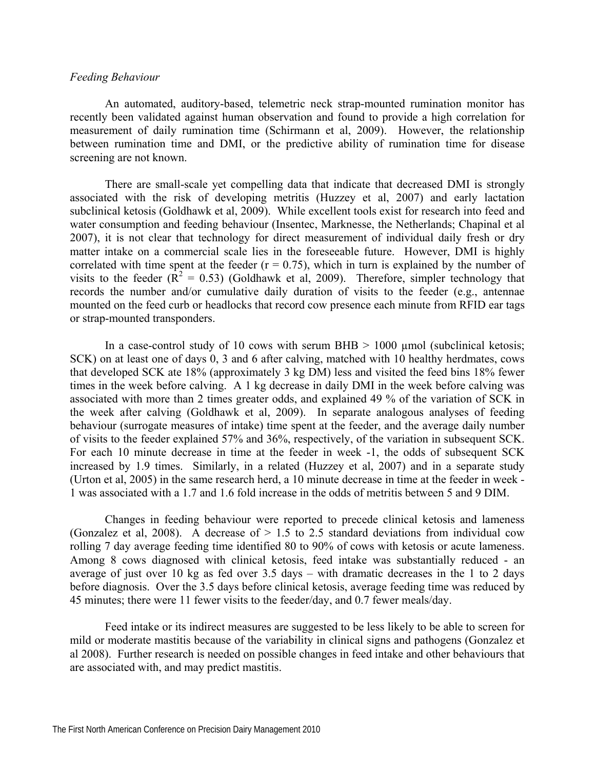## *Feeding Behaviour*

An automated, auditory-based, telemetric neck strap-mounted rumination monitor has recently been validated against human observation and found to provide a high correlation for measurement of daily rumination time (Schirmann et al, 2009). However, the relationship between rumination time and DMI, or the predictive ability of rumination time for disease screening are not known.

There are small-scale yet compelling data that indicate that decreased DMI is strongly associated with the risk of developing metritis (Huzzey et al, 2007) and early lactation subclinical ketosis (Goldhawk et al, 2009). While excellent tools exist for research into feed and water consumption and feeding behaviour (Insentec, Marknesse, the Netherlands; Chapinal et al 2007), it is not clear that technology for direct measurement of individual daily fresh or dry matter intake on a commercial scale lies in the foreseeable future. However, DMI is highly correlated with time spent at the feeder  $(r = 0.75)$ , which in turn is explained by the number of visits to the feeder  $(\mathbf{R}^2 = 0.53)$  (Goldhawk et al, 2009). Therefore, simpler technology that records the number and/or cumulative daily duration of visits to the feeder (e.g., antennae mounted on the feed curb or headlocks that record cow presence each minute from RFID ear tags or strap-mounted transponders.

In a case-control study of 10 cows with serum BHB  $> 1000$  µmol (subclinical ketosis; SCK) on at least one of days 0, 3 and 6 after calving, matched with 10 healthy herdmates, cows that developed SCK ate 18% (approximately 3 kg DM) less and visited the feed bins 18% fewer times in the week before calving. A 1 kg decrease in daily DMI in the week before calving was associated with more than 2 times greater odds, and explained 49 % of the variation of SCK in the week after calving (Goldhawk et al, 2009). In separate analogous analyses of feeding behaviour (surrogate measures of intake) time spent at the feeder, and the average daily number of visits to the feeder explained 57% and 36%, respectively, of the variation in subsequent SCK. For each 10 minute decrease in time at the feeder in week -1, the odds of subsequent SCK increased by 1.9 times. Similarly, in a related (Huzzey et al, 2007) and in a separate study (Urton et al, 2005) in the same research herd, a 10 minute decrease in time at the feeder in week - 1 was associated with a 1.7 and 1.6 fold increase in the odds of metritis between 5 and 9 DIM.

Changes in feeding behaviour were reported to precede clinical ketosis and lameness (Gonzalez et al, 2008). A decrease of  $> 1.5$  to 2.5 standard deviations from individual cow rolling 7 day average feeding time identified 80 to 90% of cows with ketosis or acute lameness. Among 8 cows diagnosed with clinical ketosis, feed intake was substantially reduced - an average of just over 10 kg as fed over 3.5 days – with dramatic decreases in the 1 to 2 days before diagnosis. Over the 3.5 days before clinical ketosis, average feeding time was reduced by 45 minutes; there were 11 fewer visits to the feeder/day, and 0.7 fewer meals/day.

Feed intake or its indirect measures are suggested to be less likely to be able to screen for mild or moderate mastitis because of the variability in clinical signs and pathogens (Gonzalez et al 2008). Further research is needed on possible changes in feed intake and other behaviours that are associated with, and may predict mastitis.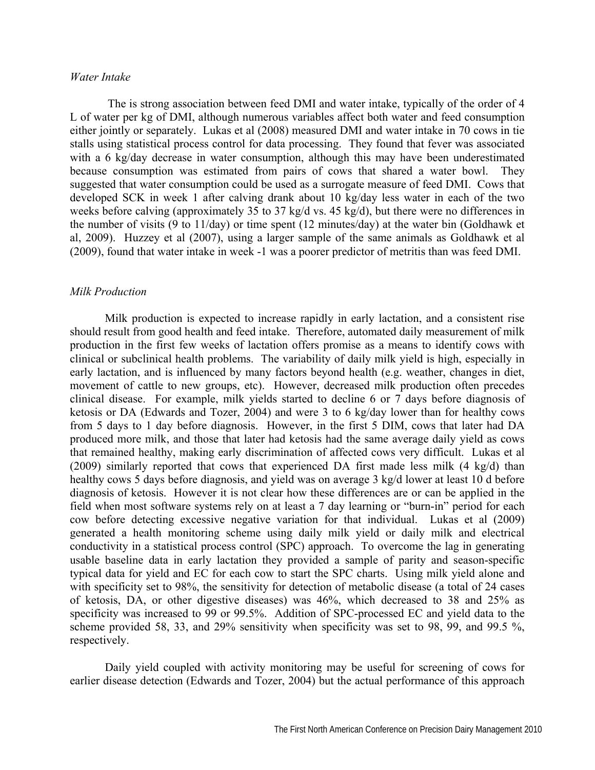### *Water Intake*

The is strong association between feed DMI and water intake, typically of the order of 4 L of water per kg of DMI, although numerous variables affect both water and feed consumption either jointly or separately. Lukas et al (2008) measured DMI and water intake in 70 cows in tie stalls using statistical process control for data processing. They found that fever was associated with a 6 kg/day decrease in water consumption, although this may have been underestimated because consumption was estimated from pairs of cows that shared a water bowl. They suggested that water consumption could be used as a surrogate measure of feed DMI. Cows that developed SCK in week 1 after calving drank about 10 kg/day less water in each of the two weeks before calving (approximately 35 to 37 kg/d vs. 45 kg/d), but there were no differences in the number of visits (9 to 11/day) or time spent (12 minutes/day) at the water bin (Goldhawk et al, 2009). Huzzey et al (2007), using a larger sample of the same animals as Goldhawk et al (2009), found that water intake in week -1 was a poorer predictor of metritis than was feed DMI.

#### *Milk Production*

Milk production is expected to increase rapidly in early lactation, and a consistent rise should result from good health and feed intake. Therefore, automated daily measurement of milk production in the first few weeks of lactation offers promise as a means to identify cows with clinical or subclinical health problems. The variability of daily milk yield is high, especially in early lactation, and is influenced by many factors beyond health (e.g. weather, changes in diet, movement of cattle to new groups, etc). However, decreased milk production often precedes clinical disease. For example, milk yields started to decline 6 or 7 days before diagnosis of ketosis or DA (Edwards and Tozer, 2004) and were 3 to 6 kg/day lower than for healthy cows from 5 days to 1 day before diagnosis. However, in the first 5 DIM, cows that later had DA produced more milk, and those that later had ketosis had the same average daily yield as cows that remained healthy, making early discrimination of affected cows very difficult. Lukas et al (2009) similarly reported that cows that experienced DA first made less milk (4 kg/d) than healthy cows 5 days before diagnosis, and yield was on average 3 kg/d lower at least 10 d before diagnosis of ketosis. However it is not clear how these differences are or can be applied in the field when most software systems rely on at least a 7 day learning or "burn-in" period for each cow before detecting excessive negative variation for that individual. Lukas et al (2009) generated a health monitoring scheme using daily milk yield or daily milk and electrical conductivity in a statistical process control (SPC) approach. To overcome the lag in generating usable baseline data in early lactation they provided a sample of parity and season-specific typical data for yield and EC for each cow to start the SPC charts. Using milk yield alone and with specificity set to 98%, the sensitivity for detection of metabolic disease (a total of 24 cases of ketosis, DA, or other digestive diseases) was 46%, which decreased to 38 and 25% as specificity was increased to 99 or 99.5%. Addition of SPC-processed EC and yield data to the scheme provided 58, 33, and 29% sensitivity when specificity was set to 98, 99, and 99.5 %, respectively.

Daily yield coupled with activity monitoring may be useful for screening of cows for earlier disease detection (Edwards and Tozer, 2004) but the actual performance of this approach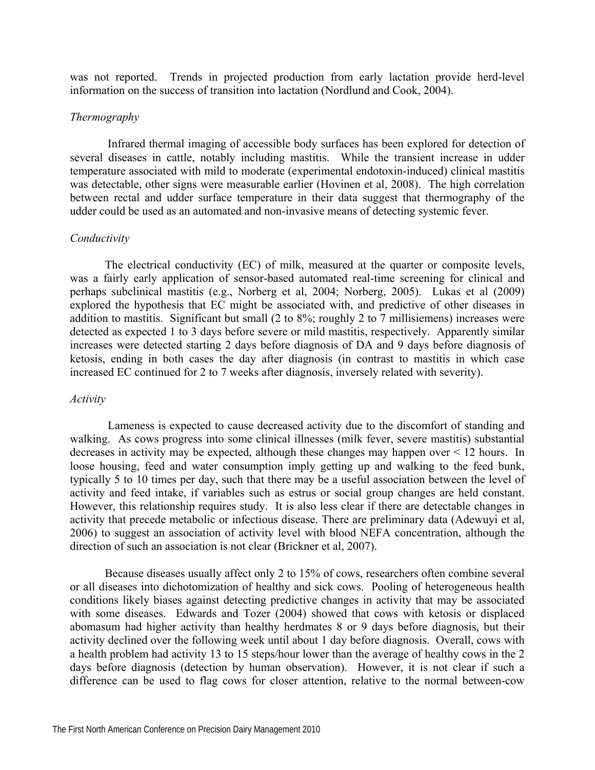was not reported. Trends in projected production from early lactation provide herd-level information on the success of transition into lactation (Nordlund and Cook, 2004).

## *Thermography*

 Infrared thermal imaging of accessible body surfaces has been explored for detection of several diseases in cattle, notably including mastitis. While the transient increase in udder temperature associated with mild to moderate (experimental endotoxin-induced) clinical mastitis was detectable, other signs were measurable earlier (Hovinen et al, 2008). The high correlation between rectal and udder surface temperature in their data suggest that thermography of the udder could be used as an automated and non-invasive means of detecting systemic fever.

# *Conductivity*

The electrical conductivity (EC) of milk, measured at the quarter or composite levels, was a fairly early application of sensor-based automated real-time screening for clinical and perhaps subclinical mastitis (e.g., Norberg et al, 2004; Norberg, 2005). Lukas et al (2009) explored the hypothesis that EC might be associated with, and predictive of other diseases in addition to mastitis. Significant but small (2 to 8%; roughly 2 to 7 millisiemens) increases were detected as expected 1 to 3 days before severe or mild mastitis, respectively. Apparently similar increases were detected starting 2 days before diagnosis of DA and 9 days before diagnosis of ketosis, ending in both cases the day after diagnosis (in contrast to mastitis in which case increased EC continued for 2 to 7 weeks after diagnosis, inversely related with severity).

## *Activity*

Lameness is expected to cause decreased activity due to the discomfort of standing and walking. As cows progress into some clinical illnesses (milk fever, severe mastitis) substantial decreases in activity may be expected, although these changes may happen over < 12 hours. In loose housing, feed and water consumption imply getting up and walking to the feed bunk, typically 5 to 10 times per day, such that there may be a useful association between the level of activity and feed intake, if variables such as estrus or social group changes are held constant. However, this relationship requires study. It is also less clear if there are detectable changes in activity that precede metabolic or infectious disease. There are preliminary data (Adewuyi et al, 2006) to suggest an association of activity level with blood NEFA concentration, although the direction of such an association is not clear (Brickner et al, 2007).

Because diseases usually affect only 2 to 15% of cows, researchers often combine several or all diseases into dichotomization of healthy and sick cows. Pooling of heterogeneous health conditions likely biases against detecting predictive changes in activity that may be associated with some diseases. Edwards and Tozer (2004) showed that cows with ketosis or displaced abomasum had higher activity than healthy herdmates 8 or 9 days before diagnosis, but their activity declined over the following week until about 1 day before diagnosis. Overall, cows with a health problem had activity 13 to 15 steps/hour lower than the average of healthy cows in the 2 days before diagnosis (detection by human observation). However, it is not clear if such a difference can be used to flag cows for closer attention, relative to the normal between-cow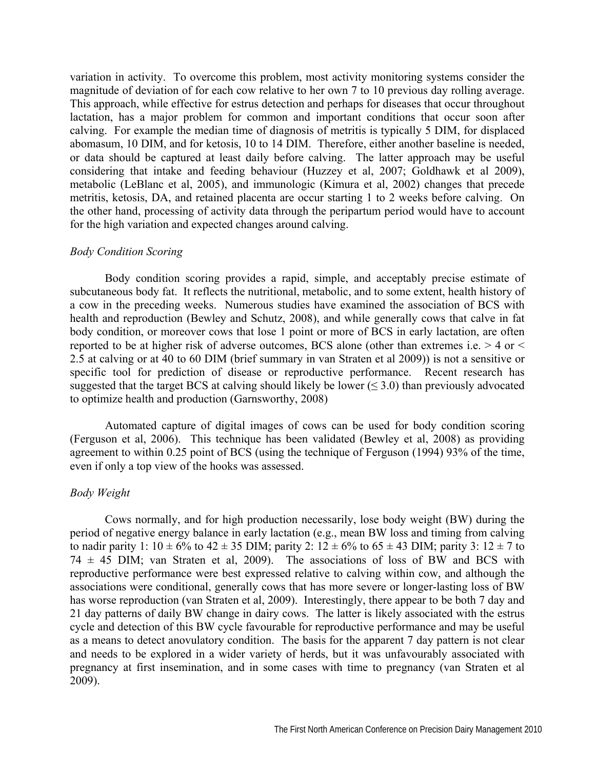variation in activity. To overcome this problem, most activity monitoring systems consider the magnitude of deviation of for each cow relative to her own 7 to 10 previous day rolling average. This approach, while effective for estrus detection and perhaps for diseases that occur throughout lactation, has a major problem for common and important conditions that occur soon after calving. For example the median time of diagnosis of metritis is typically 5 DIM, for displaced abomasum, 10 DIM, and for ketosis, 10 to 14 DIM. Therefore, either another baseline is needed, or data should be captured at least daily before calving. The latter approach may be useful considering that intake and feeding behaviour (Huzzey et al, 2007; Goldhawk et al 2009), metabolic (LeBlanc et al, 2005), and immunologic (Kimura et al, 2002) changes that precede metritis, ketosis, DA, and retained placenta are occur starting 1 to 2 weeks before calving. On the other hand, processing of activity data through the peripartum period would have to account for the high variation and expected changes around calving.

### *Body Condition Scoring*

Body condition scoring provides a rapid, simple, and acceptably precise estimate of subcutaneous body fat. It reflects the nutritional, metabolic, and to some extent, health history of a cow in the preceding weeks. Numerous studies have examined the association of BCS with health and reproduction (Bewley and Schutz, 2008), and while generally cows that calve in fat body condition, or moreover cows that lose 1 point or more of BCS in early lactation, are often reported to be at higher risk of adverse outcomes, BCS alone (other than extremes i.e. > 4 or < 2.5 at calving or at 40 to 60 DIM (brief summary in van Straten et al 2009)) is not a sensitive or specific tool for prediction of disease or reproductive performance. Recent research has suggested that the target BCS at calving should likely be lower ( $\leq$  3.0) than previously advocated to optimize health and production (Garnsworthy, 2008)

Automated capture of digital images of cows can be used for body condition scoring (Ferguson et al, 2006). This technique has been validated (Bewley et al, 2008) as providing agreement to within 0.25 point of BCS (using the technique of Ferguson (1994) 93% of the time, even if only a top view of the hooks was assessed.

### *Body Weight*

Cows normally, and for high production necessarily, lose body weight (BW) during the period of negative energy balance in early lactation (e.g., mean BW loss and timing from calving to nadir parity 1:  $10 \pm 6\%$  to  $42 \pm 35$  DIM; parity 2:  $12 \pm 6\%$  to  $65 \pm 43$  DIM; parity 3:  $12 \pm 7$  to 74  $\pm$  45 DIM; van Straten et al, 2009). The associations of loss of BW and BCS with reproductive performance were best expressed relative to calving within cow, and although the associations were conditional, generally cows that has more severe or longer-lasting loss of BW has worse reproduction (van Straten et al, 2009). Interestingly, there appear to be both 7 day and 21 day patterns of daily BW change in dairy cows. The latter is likely associated with the estrus cycle and detection of this BW cycle favourable for reproductive performance and may be useful as a means to detect anovulatory condition. The basis for the apparent 7 day pattern is not clear and needs to be explored in a wider variety of herds, but it was unfavourably associated with pregnancy at first insemination, and in some cases with time to pregnancy (van Straten et al 2009).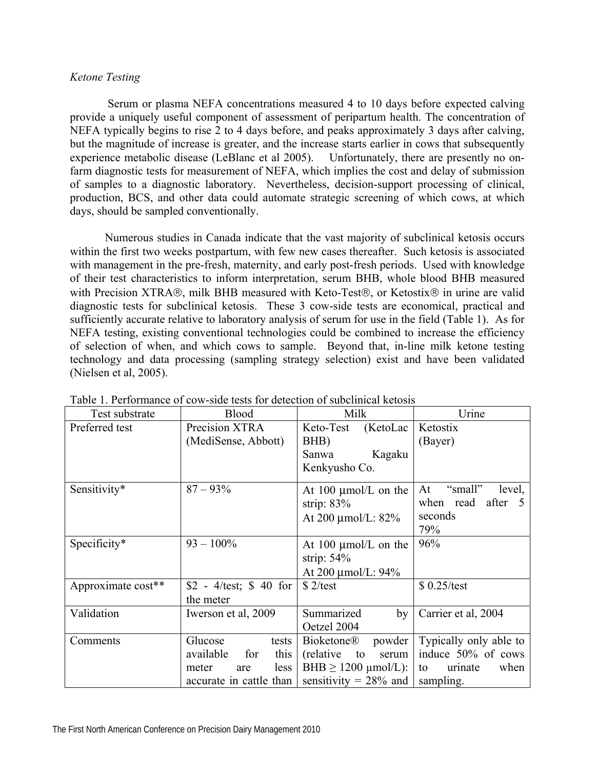# *Ketone Testing*

Serum or plasma NEFA concentrations measured 4 to 10 days before expected calving provide a uniquely useful component of assessment of peripartum health. The concentration of NEFA typically begins to rise 2 to 4 days before, and peaks approximately 3 days after calving, but the magnitude of increase is greater, and the increase starts earlier in cows that subsequently experience metabolic disease (LeBlanc et al 2005). Unfortunately, there are presently no onfarm diagnostic tests for measurement of NEFA, which implies the cost and delay of submission of samples to a diagnostic laboratory. Nevertheless, decision-support processing of clinical, production, BCS, and other data could automate strategic screening of which cows, at which days, should be sampled conventionally.

Numerous studies in Canada indicate that the vast majority of subclinical ketosis occurs within the first two weeks postpartum, with few new cases thereafter. Such ketosis is associated with management in the pre-fresh, maternity, and early post-fresh periods. Used with knowledge of their test characteristics to inform interpretation, serum BHB, whole blood BHB measured with Precision XTRA®, milk BHB measured with Keto-Test®, or Ketostix® in urine are valid diagnostic tests for subclinical ketosis. These 3 cow-side tests are economical, practical and sufficiently accurate relative to laboratory analysis of serum for use in the field (Table 1). As for NEFA testing, existing conventional technologies could be combined to increase the efficiency of selection of when, and which cows to sample. Beyond that, in-line milk ketone testing technology and data processing (sampling strategy selection) exist and have been validated (Nielsen et al, 2005).

| Test substrate     | <b>Blood</b>                                                                                    | Milk                                                                                                                  | Urine                                                                              |  |
|--------------------|-------------------------------------------------------------------------------------------------|-----------------------------------------------------------------------------------------------------------------------|------------------------------------------------------------------------------------|--|
| Preferred test     | Precision XTRA<br>(MediSense, Abbott)                                                           | Keto-Test<br>(KetoLac)<br>BHB)                                                                                        | Ketostix<br>(Bayer)                                                                |  |
|                    |                                                                                                 | Kagaku<br>Sanwa<br>Kenkyusho Co.                                                                                      |                                                                                    |  |
| Sensitivity*       | $87 - 93\%$                                                                                     | At $100 \mu$ mol/L on the<br>strip: $83%$<br>At 200 $\mu$ mol/L: 82%                                                  | "small"<br>At<br>level,<br>after 5<br>when<br>read<br>seconds<br>79%               |  |
| Specificity*       | $93 - 100\%$                                                                                    | At $100 \mu$ mol/L on the<br>strip: $54\%$<br>At 200 µmol/L: 94%                                                      | 96%                                                                                |  |
| Approximate cost** | $$2 - 4/\text{test}; $40 \text{ for}$<br>the meter                                              | \$2/test                                                                                                              | $$0.25/\text{test}$                                                                |  |
| Validation         | Iwerson et al, 2009                                                                             | Summarized<br>by<br>Oetzel 2004                                                                                       | Carrier et al, 2004                                                                |  |
| Comments           | Glucose<br>tests<br>available<br>this<br>for<br>less<br>meter<br>are<br>accurate in cattle than | <b>Bioketone®</b><br>powder<br>serum<br>(relative)<br>to<br>BHB $\geq$ 1200 $\mu$ mol/L):<br>sensitivity = $28\%$ and | Typically only able to<br>induce 50% of cows<br>when<br>to<br>urinate<br>sampling. |  |

Table 1. Performance of cow-side tests for detection of subclinical ketosis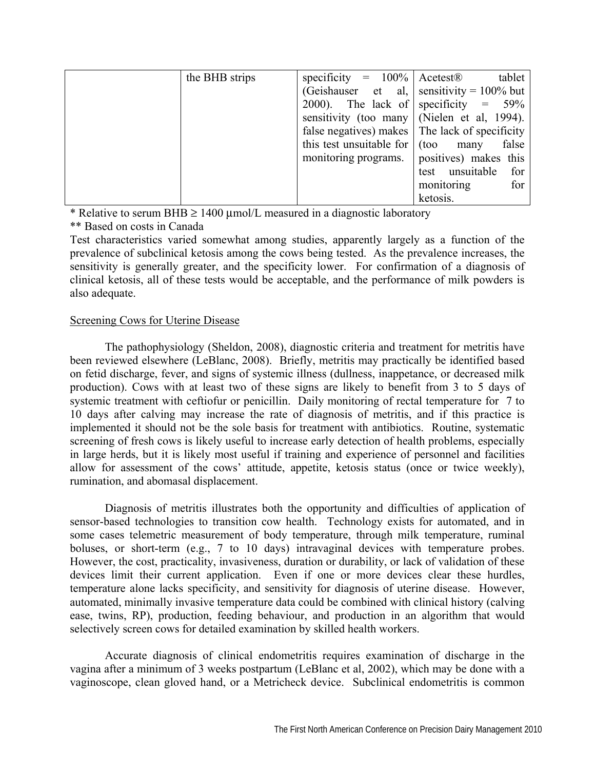| the BHB strips | specificity = $100\%$ Acetest <sup>®</sup>    |                                                  | tablet |
|----------------|-----------------------------------------------|--------------------------------------------------|--------|
|                | (Geishauser et al. sensitivity = $100\%$ but  |                                                  |        |
|                | 2000). The lack of specificity = $59\%$       |                                                  |        |
|                | sensitivity (too many   (Nielen et al, 1994). |                                                  |        |
|                |                                               | false negatives) makes   The lack of specificity |        |
|                | this test unsuitable for $\vert$ (too         | many                                             | false  |
|                | monitoring programs.                          | positives) makes this                            |        |
|                |                                               | unsuitable<br>test                               | for    |
|                |                                               | monitoring                                       | for    |
|                |                                               | ketosis.                                         |        |

\* Relative to serum BHB  $\geq$  1400 µmol/L measured in a diagnostic laboratory

\*\* Based on costs in Canada

Test characteristics varied somewhat among studies, apparently largely as a function of the prevalence of subclinical ketosis among the cows being tested. As the prevalence increases, the sensitivity is generally greater, and the specificity lower. For confirmation of a diagnosis of clinical ketosis, all of these tests would be acceptable, and the performance of milk powders is also adequate.

# Screening Cows for Uterine Disease

The pathophysiology (Sheldon, 2008), diagnostic criteria and treatment for metritis have been reviewed elsewhere (LeBlanc, 2008). Briefly, metritis may practically be identified based on fetid discharge, fever, and signs of systemic illness (dullness, inappetance, or decreased milk production). Cows with at least two of these signs are likely to benefit from 3 to 5 days of systemic treatment with ceftiofur or penicillin. Daily monitoring of rectal temperature for 7 to 10 days after calving may increase the rate of diagnosis of metritis, and if this practice is implemented it should not be the sole basis for treatment with antibiotics. Routine, systematic screening of fresh cows is likely useful to increase early detection of health problems, especially in large herds, but it is likely most useful if training and experience of personnel and facilities allow for assessment of the cows' attitude, appetite, ketosis status (once or twice weekly), rumination, and abomasal displacement.

Diagnosis of metritis illustrates both the opportunity and difficulties of application of sensor-based technologies to transition cow health. Technology exists for automated, and in some cases telemetric measurement of body temperature, through milk temperature, ruminal boluses, or short-term (e.g., 7 to 10 days) intravaginal devices with temperature probes. However, the cost, practicality, invasiveness, duration or durability, or lack of validation of these devices limit their current application. Even if one or more devices clear these hurdles, temperature alone lacks specificity, and sensitivity for diagnosis of uterine disease. However, automated, minimally invasive temperature data could be combined with clinical history (calving ease, twins, RP), production, feeding behaviour, and production in an algorithm that would selectively screen cows for detailed examination by skilled health workers.

Accurate diagnosis of clinical endometritis requires examination of discharge in the vagina after a minimum of 3 weeks postpartum (LeBlanc et al, 2002), which may be done with a vaginoscope, clean gloved hand, or a Metricheck device. Subclinical endometritis is common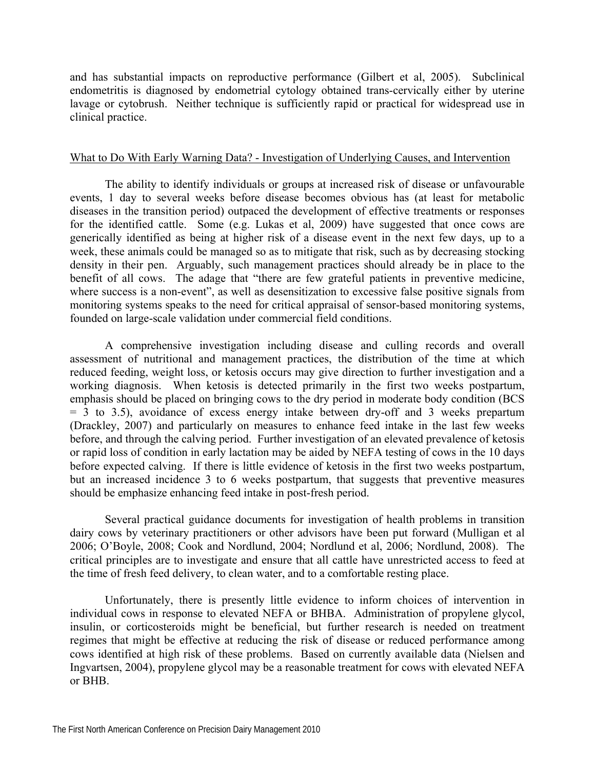and has substantial impacts on reproductive performance (Gilbert et al, 2005). Subclinical endometritis is diagnosed by endometrial cytology obtained trans-cervically either by uterine lavage or cytobrush. Neither technique is sufficiently rapid or practical for widespread use in clinical practice.

# What to Do With Early Warning Data? - Investigation of Underlying Causes, and Intervention

The ability to identify individuals or groups at increased risk of disease or unfavourable events, 1 day to several weeks before disease becomes obvious has (at least for metabolic diseases in the transition period) outpaced the development of effective treatments or responses for the identified cattle. Some (e.g. Lukas et al, 2009) have suggested that once cows are generically identified as being at higher risk of a disease event in the next few days, up to a week, these animals could be managed so as to mitigate that risk, such as by decreasing stocking density in their pen. Arguably, such management practices should already be in place to the benefit of all cows. The adage that "there are few grateful patients in preventive medicine, where success is a non-event", as well as desensitization to excessive false positive signals from monitoring systems speaks to the need for critical appraisal of sensor-based monitoring systems, founded on large-scale validation under commercial field conditions.

A comprehensive investigation including disease and culling records and overall assessment of nutritional and management practices, the distribution of the time at which reduced feeding, weight loss, or ketosis occurs may give direction to further investigation and a working diagnosis. When ketosis is detected primarily in the first two weeks postpartum, emphasis should be placed on bringing cows to the dry period in moderate body condition (BCS = 3 to 3.5), avoidance of excess energy intake between dry-off and 3 weeks prepartum (Drackley, 2007) and particularly on measures to enhance feed intake in the last few weeks before, and through the calving period. Further investigation of an elevated prevalence of ketosis or rapid loss of condition in early lactation may be aided by NEFA testing of cows in the 10 days before expected calving. If there is little evidence of ketosis in the first two weeks postpartum, but an increased incidence 3 to 6 weeks postpartum, that suggests that preventive measures should be emphasize enhancing feed intake in post-fresh period.

Several practical guidance documents for investigation of health problems in transition dairy cows by veterinary practitioners or other advisors have been put forward (Mulligan et al 2006; O'Boyle, 2008; Cook and Nordlund, 2004; Nordlund et al, 2006; Nordlund, 2008). The critical principles are to investigate and ensure that all cattle have unrestricted access to feed at the time of fresh feed delivery, to clean water, and to a comfortable resting place.

Unfortunately, there is presently little evidence to inform choices of intervention in individual cows in response to elevated NEFA or BHBA. Administration of propylene glycol, insulin, or corticosteroids might be beneficial, but further research is needed on treatment regimes that might be effective at reducing the risk of disease or reduced performance among cows identified at high risk of these problems. Based on currently available data (Nielsen and Ingvartsen, 2004), propylene glycol may be a reasonable treatment for cows with elevated NEFA or BHB.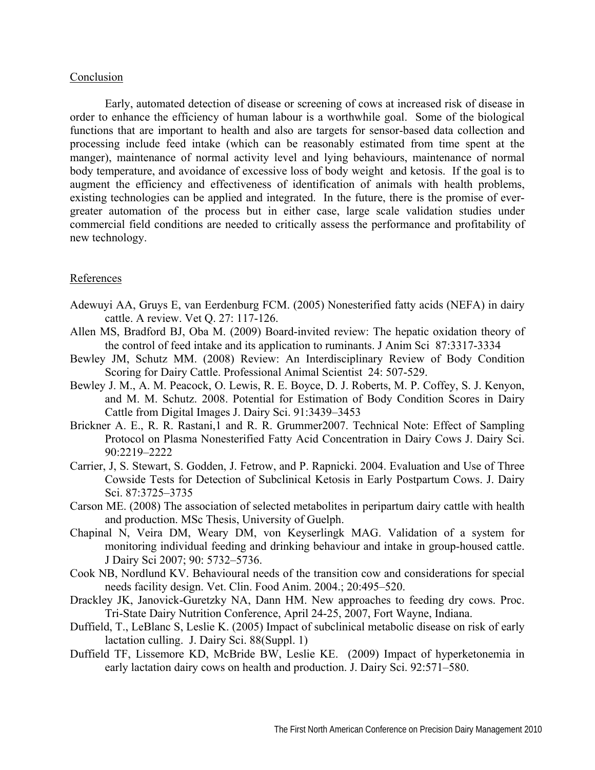## Conclusion

Early, automated detection of disease or screening of cows at increased risk of disease in order to enhance the efficiency of human labour is a worthwhile goal. Some of the biological functions that are important to health and also are targets for sensor-based data collection and processing include feed intake (which can be reasonably estimated from time spent at the manger), maintenance of normal activity level and lying behaviours, maintenance of normal body temperature, and avoidance of excessive loss of body weight and ketosis. If the goal is to augment the efficiency and effectiveness of identification of animals with health problems, existing technologies can be applied and integrated. In the future, there is the promise of evergreater automation of the process but in either case, large scale validation studies under commercial field conditions are needed to critically assess the performance and profitability of new technology.

# References

- Adewuyi AA, Gruys E, van Eerdenburg FCM. (2005) Nonesterified fatty acids (NEFA) in dairy cattle. A review. Vet Q. 27: 117-126.
- Allen MS, Bradford BJ, Oba M. (2009) Board-invited review: The hepatic oxidation theory of the control of feed intake and its application to ruminants. J Anim Sci 87:3317-3334
- Bewley JM, Schutz MM. (2008) Review: An Interdisciplinary Review of Body Condition Scoring for Dairy Cattle. Professional Animal Scientist 24: 507-529.
- Bewley J. M., A. M. Peacock, O. Lewis, R. E. Boyce, D. J. Roberts, M. P. Coffey, S. J. Kenyon, and M. M. Schutz. 2008. Potential for Estimation of Body Condition Scores in Dairy Cattle from Digital Images J. Dairy Sci. 91:3439–3453
- Brickner A. E., R. R. Rastani,1 and R. R. Grummer2007. Technical Note: Effect of Sampling Protocol on Plasma Nonesterified Fatty Acid Concentration in Dairy Cows J. Dairy Sci. 90:2219–2222
- Carrier, J, S. Stewart, S. Godden, J. Fetrow, and P. Rapnicki. 2004. Evaluation and Use of Three Cowside Tests for Detection of Subclinical Ketosis in Early Postpartum Cows. J. Dairy Sci. 87:3725–3735
- Carson ME. (2008) The association of selected metabolites in peripartum dairy cattle with health and production. MSc Thesis, University of Guelph.
- Chapinal N, Veira DM, Weary DM, von Keyserlingk MAG. Validation of a system for monitoring individual feeding and drinking behaviour and intake in group-housed cattle. J Dairy Sci 2007; 90: 5732–5736.
- Cook NB, Nordlund KV. Behavioural needs of the transition cow and considerations for special needs facility design. Vet. Clin. Food Anim. 2004.; 20:495–520.
- Drackley JK, Janovick-Guretzky NA, Dann HM. New approaches to feeding dry cows. Proc. Tri-State Dairy Nutrition Conference, April 24-25, 2007, Fort Wayne, Indiana.
- Duffield, T., LeBlanc S, Leslie K. (2005) Impact of subclinical metabolic disease on risk of early lactation culling. J. Dairy Sci. 88(Suppl. 1)
- Duffield TF, Lissemore KD, McBride BW, Leslie KE. (2009) Impact of hyperketonemia in early lactation dairy cows on health and production. J. Dairy Sci. 92:571–580.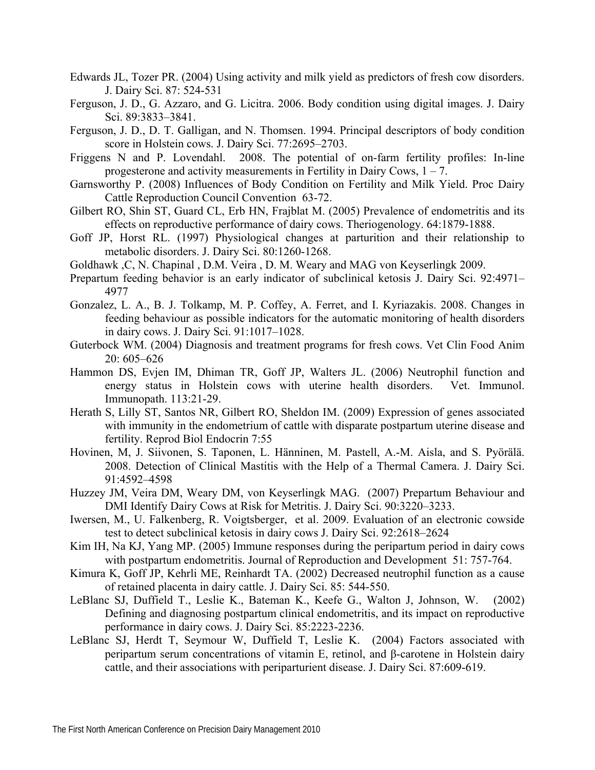- Edwards JL, Tozer PR. (2004) Using activity and milk yield as predictors of fresh cow disorders. J. Dairy Sci. 87: 524-531
- Ferguson, J. D., G. Azzaro, and G. Licitra. 2006. Body condition using digital images. J. Dairy Sci. 89:3833–3841.
- Ferguson, J. D., D. T. Galligan, and N. Thomsen. 1994. Principal descriptors of body condition score in Holstein cows. J. Dairy Sci. 77:2695–2703.
- Friggens N and P. Lovendahl. 2008. The potential of on-farm fertility profiles: In-line progesterone and activity measurements in Fertility in Dairy Cows,  $1 - 7$ .
- Garnsworthy P. (2008) Influences of Body Condition on Fertility and Milk Yield. Proc Dairy Cattle Reproduction Council Convention 63-72.
- Gilbert RO, Shin ST, Guard CL, Erb HN, Frajblat M. (2005) Prevalence of endometritis and its effects on reproductive performance of dairy cows. Theriogenology. 64:1879-1888.
- Goff JP, Horst RL. (1997) Physiological changes at parturition and their relationship to metabolic disorders. J. Dairy Sci. 80:1260-1268.
- Goldhawk ,C, N. Chapinal , D.M. Veira , D. M. Weary and MAG von Keyserlingk 2009.
- Prepartum feeding behavior is an early indicator of subclinical ketosis J. Dairy Sci. 92:4971– 4977
- Gonzalez, L. A., B. J. Tolkamp, M. P. Coffey, A. Ferret, and I. Kyriazakis. 2008. Changes in feeding behaviour as possible indicators for the automatic monitoring of health disorders in dairy cows. J. Dairy Sci. 91:1017–1028.
- Guterbock WM. (2004) Diagnosis and treatment programs for fresh cows. Vet Clin Food Anim 20: 605–626
- Hammon DS, Evjen IM, Dhiman TR, Goff JP, Walters JL. (2006) Neutrophil function and energy status in Holstein cows with uterine health disorders. Vet. Immunol. Immunopath. 113:21-29.
- Herath S, Lilly ST, Santos NR, Gilbert RO, Sheldon IM. (2009) Expression of genes associated with immunity in the endometrium of cattle with disparate postpartum uterine disease and fertility. Reprod Biol Endocrin 7:55
- Hovinen, M, J. Siivonen, S. Taponen, L. Hänninen, M. Pastell, A.-M. Aisla, and S. Pyörälä. 2008. Detection of Clinical Mastitis with the Help of a Thermal Camera. J. Dairy Sci. 91:4592–4598
- Huzzey JM, Veira DM, Weary DM, von Keyserlingk MAG. (2007) Prepartum Behaviour and DMI Identify Dairy Cows at Risk for Metritis. J. Dairy Sci. 90:3220–3233.
- Iwersen, M., U. Falkenberg, R. Voigtsberger, et al. 2009. Evaluation of an electronic cowside test to detect subclinical ketosis in dairy cows J. Dairy Sci. 92:2618–2624
- Kim IH, Na KJ, Yang MP. (2005) Immune responses during the peripartum period in dairy cows with postpartum endometritis. Journal of Reproduction and Development 51: 757-764.
- Kimura K, Goff JP, Kehrli ME, Reinhardt TA. (2002) Decreased neutrophil function as a cause of retained placenta in dairy cattle. J. Dairy Sci. 85: 544-550.
- LeBlanc SJ, Duffield T., Leslie K., Bateman K., Keefe G., Walton J, Johnson, W. (2002) Defining and diagnosing postpartum clinical endometritis, and its impact on reproductive performance in dairy cows. J. Dairy Sci. 85:2223-2236.
- LeBlanc SJ, Herdt T, Seymour W, Duffield T, Leslie K. (2004) Factors associated with peripartum serum concentrations of vitamin E, retinol, and β-carotene in Holstein dairy cattle, and their associations with periparturient disease. J. Dairy Sci. 87:609-619.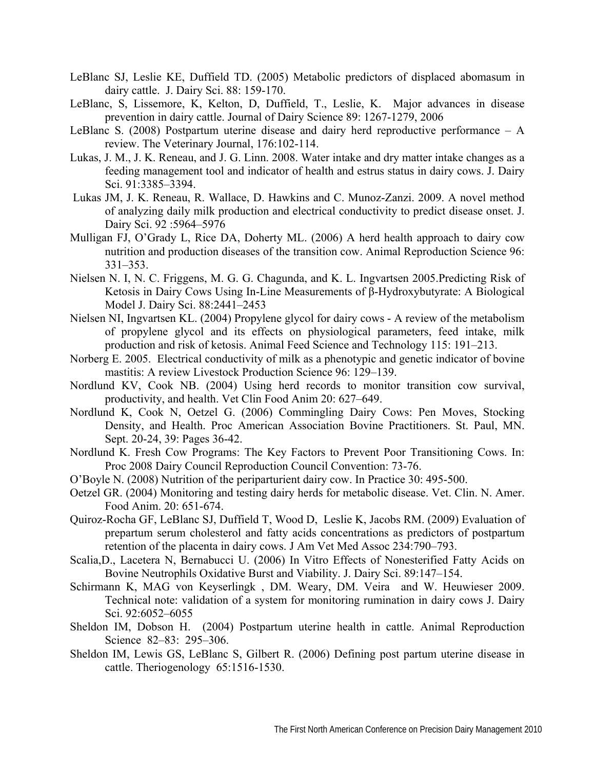- LeBlanc SJ, Leslie KE, Duffield TD. (2005) Metabolic predictors of displaced abomasum in dairy cattle. J. Dairy Sci. 88: 159-170.
- LeBlanc, S, Lissemore, K, Kelton, D, Duffield, T., Leslie, K. Major advances in disease prevention in dairy cattle. Journal of Dairy Science 89: 1267-1279, 2006
- LeBlanc S. (2008) Postpartum uterine disease and dairy herd reproductive performance A review. The Veterinary Journal, 176:102-114.
- Lukas, J. M., J. K. Reneau, and J. G. Linn. 2008. Water intake and dry matter intake changes as a feeding management tool and indicator of health and estrus status in dairy cows. J. Dairy Sci. 91:3385–3394.
- Lukas JM, J. K. Reneau, R. Wallace, D. Hawkins and C. Munoz-Zanzi. 2009. A novel method of analyzing daily milk production and electrical conductivity to predict disease onset. J. Dairy Sci. 92 :5964–5976
- Mulligan FJ, O'Grady L, Rice DA, Doherty ML. (2006) A herd health approach to dairy cow nutrition and production diseases of the transition cow. Animal Reproduction Science 96: 331–353.
- Nielsen N. I, N. C. Friggens, M. G. G. Chagunda, and K. L. Ingvartsen 2005.Predicting Risk of Ketosis in Dairy Cows Using In-Line Measurements of β-Hydroxybutyrate: A Biological Model J. Dairy Sci. 88:2441–2453
- Nielsen NI, Ingvartsen KL. (2004) Propylene glycol for dairy cows A review of the metabolism of propylene glycol and its effects on physiological parameters, feed intake, milk production and risk of ketosis. Animal Feed Science and Technology 115: 191–213.
- Norberg E. 2005. Electrical conductivity of milk as a phenotypic and genetic indicator of bovine mastitis: A review Livestock Production Science 96: 129–139.
- Nordlund KV, Cook NB. (2004) Using herd records to monitor transition cow survival, productivity, and health. Vet Clin Food Anim 20: 627–649.
- Nordlund K, Cook N, Oetzel G. (2006) Commingling Dairy Cows: Pen Moves, Stocking Density, and Health. Proc American Association Bovine Practitioners. St. Paul, MN. Sept. 20-24, 39: Pages 36-42.
- Nordlund K. Fresh Cow Programs: The Key Factors to Prevent Poor Transitioning Cows. In: Proc 2008 Dairy Council Reproduction Council Convention: 73-76.
- O'Boyle N. (2008) Nutrition of the periparturient dairy cow. In Practice 30: 495-500.
- Oetzel GR. (2004) Monitoring and testing dairy herds for metabolic disease. Vet. Clin. N. Amer. Food Anim. 20: 651-674.
- Quiroz-Rocha GF, LeBlanc SJ, Duffield T, Wood D, Leslie K, Jacobs RM. (2009) Evaluation of prepartum serum cholesterol and fatty acids concentrations as predictors of postpartum retention of the placenta in dairy cows. J Am Vet Med Assoc 234:790–793.
- Scalia,D., Lacetera N, Bernabucci U. (2006) In Vitro Effects of Nonesterified Fatty Acids on Bovine Neutrophils Oxidative Burst and Viability. J. Dairy Sci. 89:147–154.
- Schirmann K, MAG von Keyserlingk , DM. Weary, DM. Veira and W. Heuwieser 2009. Technical note: validation of a system for monitoring rumination in dairy cows J. Dairy Sci. 92:6052–6055
- Sheldon IM, Dobson H. (2004) Postpartum uterine health in cattle. Animal Reproduction Science 82–83: 295–306.
- Sheldon IM, Lewis GS, LeBlanc S, Gilbert R. (2006) Defining post partum uterine disease in cattle. Theriogenology 65:1516-1530.